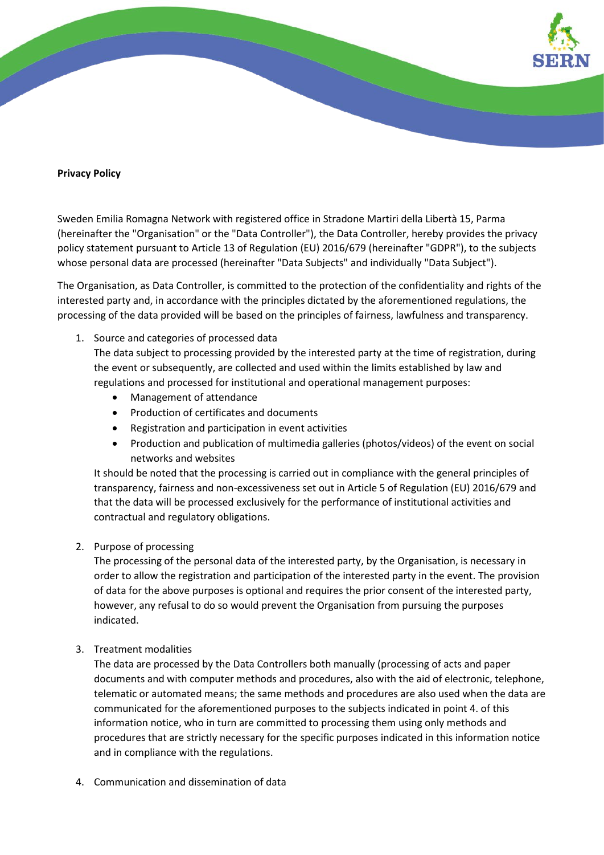

## **Privacy Policy**

Sweden Emilia Romagna Network with registered office in Stradone Martiri della Libertà 15, Parma (hereinafter the "Organisation" or the "Data Controller"), the Data Controller, hereby provides the privacy policy statement pursuant to Article 13 of Regulation (EU) 2016/679 (hereinafter "GDPR"), to the subjects whose personal data are processed (hereinafter "Data Subjects" and individually "Data Subject").

The Organisation, as Data Controller, is committed to the protection of the confidentiality and rights of the interested party and, in accordance with the principles dictated by the aforementioned regulations, the processing of the data provided will be based on the principles of fairness, lawfulness and transparency.

1. Source and categories of processed data

The data subject to processing provided by the interested party at the time of registration, during the event or subsequently, are collected and used within the limits established by law and regulations and processed for institutional and operational management purposes:

- Management of attendance
- Production of certificates and documents
- Registration and participation in event activities
- Production and publication of multimedia galleries (photos/videos) of the event on social networks and websites

It should be noted that the processing is carried out in compliance with the general principles of transparency, fairness and non-excessiveness set out in Article 5 of Regulation (EU) 2016/679 and that the data will be processed exclusively for the performance of institutional activities and contractual and regulatory obligations.

2. Purpose of processing

The processing of the personal data of the interested party, by the Organisation, is necessary in order to allow the registration and participation of the interested party in the event. The provision of data for the above purposes is optional and requires the prior consent of the interested party, however, any refusal to do so would prevent the Organisation from pursuing the purposes indicated.

3. Treatment modalities

The data are processed by the Data Controllers both manually (processing of acts and paper documents and with computer methods and procedures, also with the aid of electronic, telephone, telematic or automated means; the same methods and procedures are also used when the data are communicated for the aforementioned purposes to the subjects indicated in point 4. of this information notice, who in turn are committed to processing them using only methods and procedures that are strictly necessary for the specific purposes indicated in this information notice and in compliance with the regulations.

4. Communication and dissemination of data